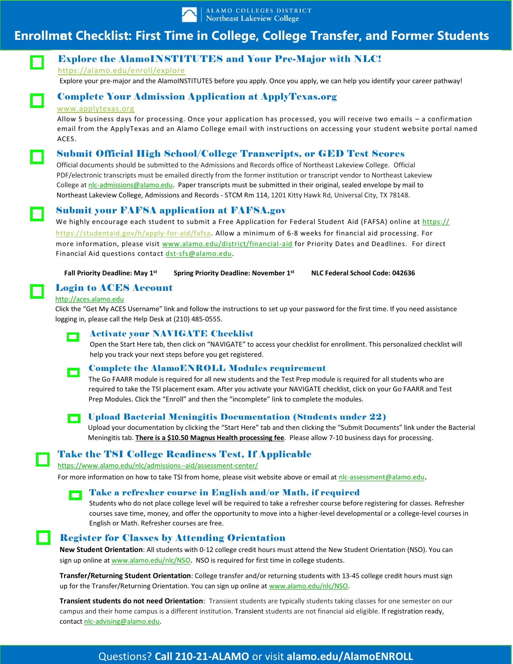

# **Enrollmet Checklist: First Time in College, College Transfer, and Former Students**



# Explore the AlamoINSTITUTES and Your Pre-Major with NLC!

<https://alamo.edu/enroll/explore>

Explore your pre-major and the AlamoINSTITUTES before you apply. Once you apply, we can help you identify your career pathway!

# Complete Your Admission Application at ApplyTexas.org

### [www.applytexas.org](http://www.applytexas.org/)

Allow 5 business days for processing. Once your application has processed, you will receive two emails – a confirmation email from the ApplyTexas and an Alamo College email with instructions on accessing your student website portal named ACES.

## Submit Official High School/College Transcripts, or GED Test Scores

Official documents should be submitted to the Admissions and Records office of Northeast Lakeview College. Official PDF/electronic transcripts must be emailed directly from the former institution or transcript vendor to Northeast Lakeview College at [nlc-admissions@alamo.edu.](mailto:nlc-admissions@alamo.edu) Paper transcripts must be submitted in their original, sealed envelope by mail to Northeast Lakeview College, Admissions and Records - STCM Rm 114, 1201 Kitty Hawk Rd, Universal City, TX 78148.

## Submit your FAFSA application at FAFSA.gov

We highly encourage each student to submit a Free Application for Federal Student Aid (FAFSA) online at https:// <https://studentaid.gov/h/apply-for-aid/fafsa>. Allow a minimum of 6-8 weeks for financial aid processing. For more information, please visit www[.alamo.edu/district/financial-aid](file:///C:/Users/erodriguez743/AppData/Local/Microsoft/Windows/INetCache/IE/SXQD3SHX/Enrollment%20Checklist.docx) for Priority Dates and Deadlines. For direct Financial Aid questions contact dst-sfs@alamo.edu.

 **Fall Priority Deadline: May 1st Spring Priority Deadline: November 1st NLC Federal School Code: 042636** 

## Login to ACES Account

## [http://aces.alamo.edu](http://aces.alamo.edu/)

Click the "Get My ACES Username" link and follow the instructions to set up your password for the first time. If you need assistance logging in, please call the Help Desk at (210) 485-0555.



## Activate your NAVIGATE Checklist

Open the Start Here tab, then click on "NAVIGATE" to access your checklist for enrollment. This personalized checklist will help you track your next steps before you get registered.



## Complete the AlamoENROLL Modules requirement

The Go FAARR module is required for all new students and the Test Prep module is required for all students who are required to take the TSI placement exam. After you activate your NAVIGATE checklist, click on your Go FAARR and Test Prep Modules. Click the "Enroll" and then the "incomplete" link to complete the modules.



## Upload Bacterial Meningitis Documentation (Students under 22)

Upload your documentation by clicking the "Start Here" tab and then clicking the "Submit Documents" link under the Bacterial Meningitis tab. **There is a \$10.50 Magnus Health processing fee**. Please allow 7-10 business days for processing.

## Take the TSI College Readiness Test, If Applicable

<https://www.alamo.edu/nlc/admissions--aid/assessment-center/>

For more information on how to take TSI from home, please visit website above or email at nlc-assessment@alamo.edu.

#### Take a refresher course in English and/or Math, if required n

Students who do not place college level will be required to take a refresher course before registering for classes. Refresher courses save time, money, and offer the opportunity to move into a higher-level developmental or a college-level courses in English or Math. Refresher courses are free.

## **Register for Classes by Attending Orientation**

**New Student Orientation**: All students with 0-12 college credit hours must attend the New Student Orientation (NSO). You can sign up online at www.alamo.edu/nlc/NSO. NSO is required for first time in college students.

**Transfer/Returning Student Orientation**: College transfer and/or returning students with 13-45 college credit hours must sign up for the Transfer/Returning Orientation. You can sign up online at www.alamo.edu/nlc/NSO.

**Transient students do not need Orientation**: Transient students are typically students taking classes for one semester on our campus and their home campus is a different institution. Transient students are not financial aid eligible. If registration ready, contact nlc-advising@alamo.edu.

# Questions? **Call 210-21-ALAMO** or visit **alamo.edu/AlamoENROLL**